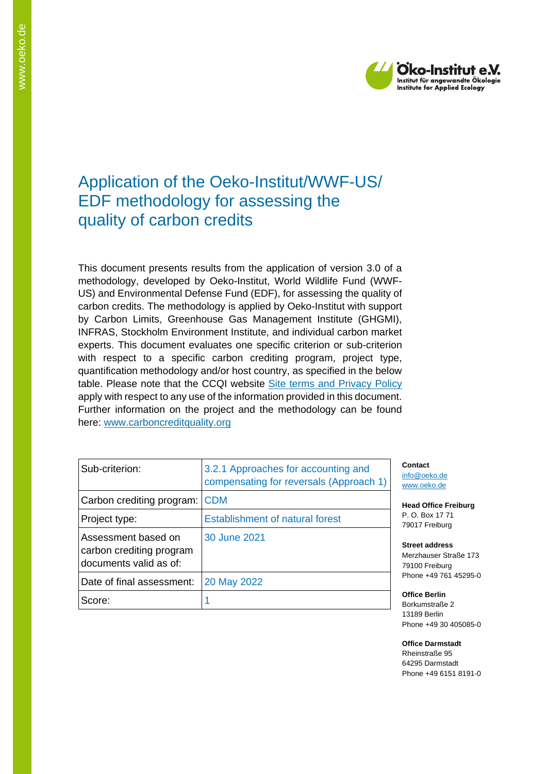

# Application of the Oeko-Institut/WWF-US/ EDF methodology for assessing the quality of carbon credits

This document presents results from the application of version 3.0 of a methodology, developed by Oeko-Institut, World Wildlife Fund (WWF-US) and Environmental Defense Fund (EDF), for assessing the quality of carbon credits. The methodology is applied by Oeko-Institut with support by Carbon Limits, Greenhouse Gas Management Institute (GHGMI), INFRAS, Stockholm Environment Institute, and individual carbon market experts. This document evaluates one specific criterion or sub-criterion with respect to a specific carbon crediting program, project type, quantification methodology and/or host country, as specified in the below table. Please note that the CCQI website [Site terms and Privacy Policy](https://carboncreditquality.org/terms.html) apply with respect to any use of the information provided in this document. Further information on the project and the methodology can be found here: [www.carboncreditquality.org](http://www.carboncreditquality.org/)

| Sub-criterion:                                                            | 3.2.1 Approaches for accounting and<br>compensating for reversals (Approach 1) |
|---------------------------------------------------------------------------|--------------------------------------------------------------------------------|
| Carbon crediting program:                                                 | <b>CDM</b>                                                                     |
| Project type:                                                             | <b>Establishment of natural forest</b>                                         |
| Assessment based on<br>carbon crediting program<br>documents valid as of: | 30 June 2021                                                                   |
| Date of final assessment:                                                 | 20 May 2022                                                                    |
| Score:                                                                    |                                                                                |

**Contact** [info@oeko.de](mailto:info@oeko.de) [www.oeko.de](http://www.oeko.de/)

**Head Office Freiburg** P. O. Box 17 71 79017 Freiburg

**Street address** Merzhauser Straße 173 79100 Freiburg Phone +49 761 45295-0

**Office Berlin** Borkumstraße 2 13189 Berlin Phone +49 30 405085-0

**Office Darmstadt** Rheinstraße 95 64295 Darmstadt Phone +49 6151 8191-0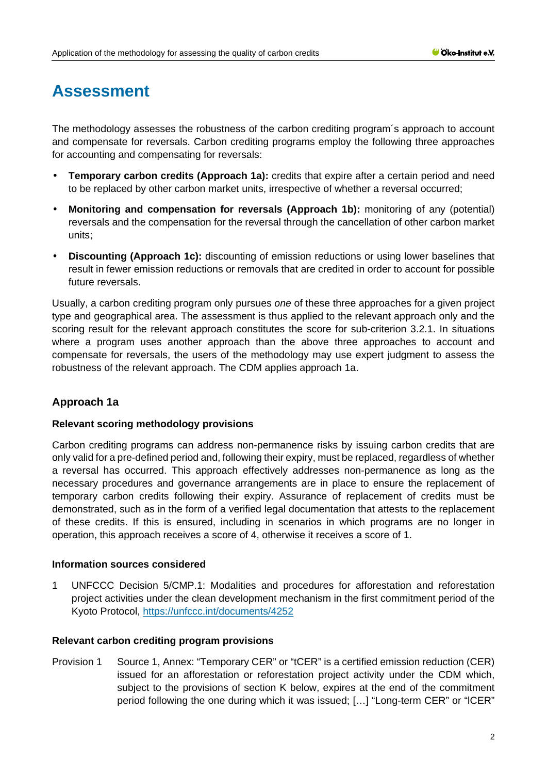# **Assessment**

The methodology assesses the robustness of the carbon crediting program´s approach to account and compensate for reversals. Carbon crediting programs employ the following three approaches for accounting and compensating for reversals:

- **Temporary carbon credits (Approach 1a):** credits that expire after a certain period and need to be replaced by other carbon market units, irrespective of whether a reversal occurred;
- **Monitoring and compensation for reversals (Approach 1b):** monitoring of any (potential) reversals and the compensation for the reversal through the cancellation of other carbon market units;
- **Discounting (Approach 1c):** discounting of emission reductions or using lower baselines that result in fewer emission reductions or removals that are credited in order to account for possible future reversals.

Usually, a carbon crediting program only pursues *one* of these three approaches for a given project type and geographical area. The assessment is thus applied to the relevant approach only and the scoring result for the relevant approach constitutes the score for sub-criterion 3.2.1. In situations where a program uses another approach than the above three approaches to account and compensate for reversals, the users of the methodology may use expert judgment to assess the robustness of the relevant approach. The CDM applies approach 1a.

## **Approach 1a**

### **Relevant scoring methodology provisions**

Carbon crediting programs can address non-permanence risks by issuing carbon credits that are only valid for a pre-defined period and, following their expiry, must be replaced, regardless of whether a reversal has occurred. This approach effectively addresses non-permanence as long as the necessary procedures and governance arrangements are in place to ensure the replacement of temporary carbon credits following their expiry. Assurance of replacement of credits must be demonstrated, such as in the form of a verified legal documentation that attests to the replacement of these credits. If this is ensured, including in scenarios in which programs are no longer in operation, this approach receives a score of 4, otherwise it receives a score of 1.

### **Information sources considered**

1 UNFCCC Decision 5/CMP.1: Modalities and procedures for afforestation and reforestation project activities under the clean development mechanism in the first commitment period of the Kyoto Protocol,<https://unfccc.int/documents/4252>

### **Relevant carbon crediting program provisions**

Provision 1 Source 1, Annex: "Temporary CER" or "tCER" is a certified emission reduction (CER) issued for an afforestation or reforestation project activity under the CDM which, subject to the provisions of section K below, expires at the end of the commitment period following the one during which it was issued; […] "Long-term CER" or "lCER"